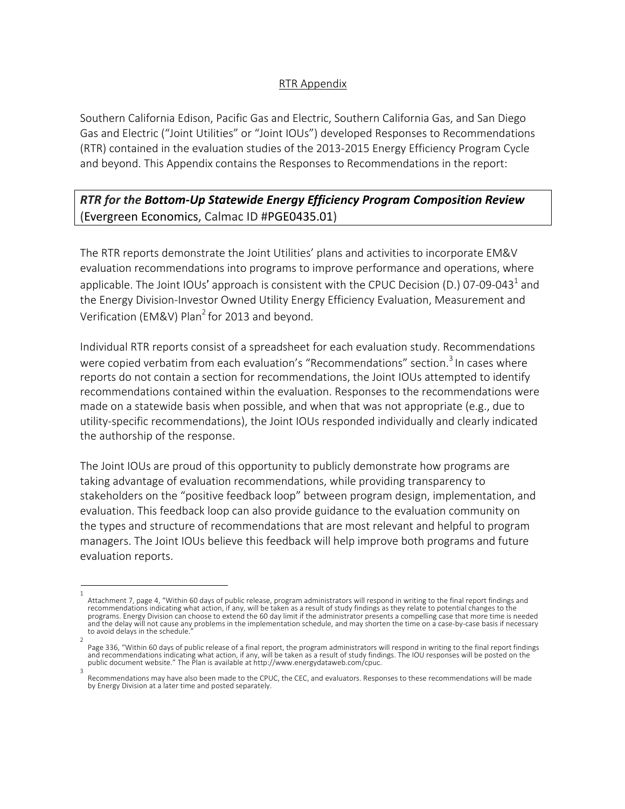#### RTR Appendix

Southern California Edison, Pacific Gas and Electric, Southern California Gas, and San Diego Gas and Electric ("Joint Utilities" or "Joint IOUs") developed Responses to Recommendations (RTR) contained in the evaluation studies of the 2013-2015 Energy Efficiency Program Cycle and beyond. This Appendix contains the Responses to Recommendations in the report:

## *RTR for the Bottom-Up Statewide Energy Efficiency Program Composition Review* (Evergreen Economics, Calmac ID #PGE0435.01)

The RTR reports demonstrate the Joint Utilities' plans and activities to incorporate EM&V evaluation recommendations into programs to improve performance and operations, where applicable. The Joint IOUs' approach is consistent with the CPUC Decision (D.) 07-09-043<sup>1</sup> and the Energy Division-Investor Owned Utility Energy Efficiency Evaluation, Measurement and Verification (EM&V) Plan<sup>2</sup> for 2013 and beyond.

Individual RTR reports consist of a spreadsheet for each evaluation study. Recommendations were copied verbatim from each evaluation's "Recommendations" section.<sup>3</sup> In cases where reports do not contain a section for recommendations, the Joint IOUs attempted to identify recommendations contained within the evaluation. Responses to the recommendations were made on a statewide basis when possible, and when that was not appropriate (e.g., due to utility-specific recommendations), the Joint IOUs responded individually and clearly indicated the authorship of the response.

The Joint IOUs are proud of this opportunity to publicly demonstrate how programs are taking advantage of evaluation recommendations, while providing transparency to stakeholders on the "positive feedback loop" between program design, implementation, and evaluation. This feedback loop can also provide guidance to the evaluation community on the types and structure of recommendations that are most relevant and helpful to program managers. The Joint IOUs believe this feedback will help improve both programs and future evaluation reports.

<sup>1</sup> Attachment 7, page 4, "Within 60 days of public release, program administrators will respond in writing to the final report findings and recommendations indicating what action, if any, will be taken as a result of study findings as they relate to potential changes to the programs. Energy Division can choose to extend the 60 day limit if the administrator presents a compelling case that more time is needed and the delay will not cause any problems in the implementation schedule, and may shorten the time on a case-by-case basis if necessary to avoid delays in the schedule.

<sup>2</sup> Page 336, "Within 60 days of public release of a final report, the program administrators will respond in writing to the final report findings and recommendations indicating what action, if any, will be taken as a result of study findings. The IOU responses will be posted on the<br>public document website." The Plan is available at http://www.energydataweb.com/cpuc. 3

Recommendations may have also been made to the CPUC, the CEC, and evaluators. Responses to these recommendations will be made by Energy Division at a later time and posted separately.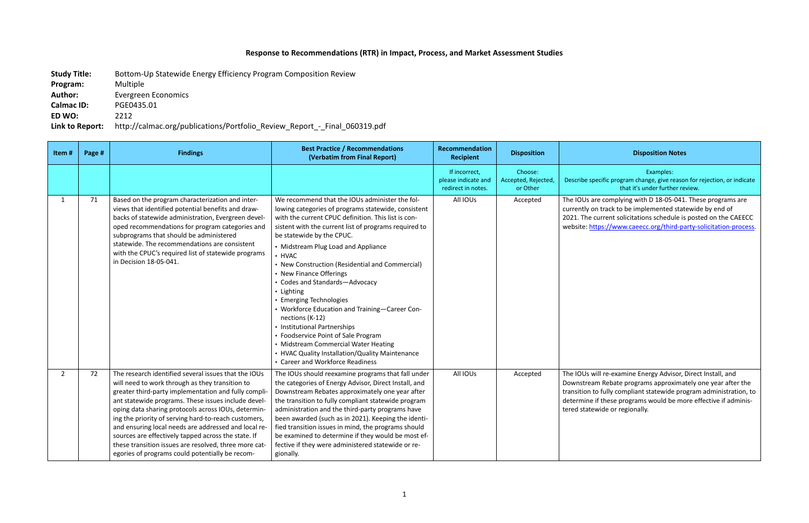# **Response to Recommendations (RTR) in Impact, Process, and Market Assessment Studies**

**Study Title:** Bottom-Up Statewide Energy Efficiency Program Composition Review **Program:** Multiple **Author:** Evergreen Economics **Calmac ID:** PGE0435.01 **ED WO:** 2212 **Link to Report:** http://calmac.org/publications/Portfolio\_Review\_Report\_-\_Final\_060319.pdf

### **Recipient Disposition Disposition Notes**

Examples: ecific program change, give reason for rejection, or indicate that it's under further review.

re complying with D 18-05-041. These programs are In track to be implemented statewide by end of current solicitations schedule is posted on the CAEECC tps://www.caeecc.org/third-party-solicitation-process.

vill re-examine Energy Advisor, Direct Install, and m Rebate programs approximately one year after the to fully compliant statewide program administration, to if these programs would be more effective if adminiswide or regionally.

| Item#          | Page # | <b>Findings</b>                                                                                                                                                                                                                                                                                                                                                                                                                                                                                                                                                  | <b>Best Practice / Recommendations</b><br>(Verbatim from Final Report)                                                                                                                                                                                                                                                                                                                                                                                                                                                                                                                                                                                                                                                                  | Recommendation<br><b>Recipient</b>                         | <b>Disposition</b>                         |                                                                          |
|----------------|--------|------------------------------------------------------------------------------------------------------------------------------------------------------------------------------------------------------------------------------------------------------------------------------------------------------------------------------------------------------------------------------------------------------------------------------------------------------------------------------------------------------------------------------------------------------------------|-----------------------------------------------------------------------------------------------------------------------------------------------------------------------------------------------------------------------------------------------------------------------------------------------------------------------------------------------------------------------------------------------------------------------------------------------------------------------------------------------------------------------------------------------------------------------------------------------------------------------------------------------------------------------------------------------------------------------------------------|------------------------------------------------------------|--------------------------------------------|--------------------------------------------------------------------------|
|                |        |                                                                                                                                                                                                                                                                                                                                                                                                                                                                                                                                                                  |                                                                                                                                                                                                                                                                                                                                                                                                                                                                                                                                                                                                                                                                                                                                         | If incorrect,<br>please indicate and<br>redirect in notes. | Choose:<br>Accepted, Rejected,<br>or Other | Describe spe                                                             |
| $\mathbf{1}$   | 71     | Based on the program characterization and inter-<br>views that identified potential benefits and draw-<br>backs of statewide administration, Evergreen devel-<br>oped recommendations for program categories and<br>subprograms that should be administered<br>statewide. The recommendations are consistent<br>with the CPUC's required list of statewide programs<br>in Decision 18-05-041.                                                                                                                                                                    | We recommend that the IOUs administer the fol-<br>lowing categories of programs statewide, consistent<br>with the current CPUC definition. This list is con-<br>sistent with the current list of programs required to<br>be statewide by the CPUC.<br>• Midstream Plug Load and Appliance<br>• HVAC<br>• New Construction (Residential and Commercial)<br>• New Finance Offerings<br>• Codes and Standards-Advocacy<br>• Lighting<br>• Emerging Technologies<br>• Workforce Education and Training-Career Con-<br>nections (K-12)<br>• Institutional Partnerships<br>• Foodservice Point of Sale Program<br>• Midstream Commercial Water Heating<br>• HVAC Quality Installation/Quality Maintenance<br>• Career and Workforce Readiness | All IOUs                                                   | Accepted                                   | The IOUs ar<br>currently or<br>2021. The c<br>website: htt               |
| $\overline{2}$ | 72     | The research identified several issues that the IOUs<br>will need to work through as they transition to<br>greater third-party implementation and fully compli-<br>ant statewide programs. These issues include devel-<br>oping data sharing protocols across IOUs, determin-<br>ing the priority of serving hard-to-reach customers,<br>and ensuring local needs are addressed and local re-<br>sources are effectively tapped across the state. If<br>these transition issues are resolved, three more cat-<br>egories of programs could potentially be recom- | The IOUs should reexamine programs that fall under<br>the categories of Energy Advisor, Direct Install, and<br>Downstream Rebates approximately one year after<br>the transition to fully compliant statewide program<br>administration and the third-party programs have<br>been awarded (such as in 2021). Keeping the identi-<br>fied transition issues in mind, the programs should<br>be examined to determine if they would be most ef-<br>fective if they were administered statewide or re-<br>gionally.                                                                                                                                                                                                                        | All IOUs                                                   | Accepted                                   | The IOUs w<br>Downstrear<br>transition to<br>determine i<br>tered statev |